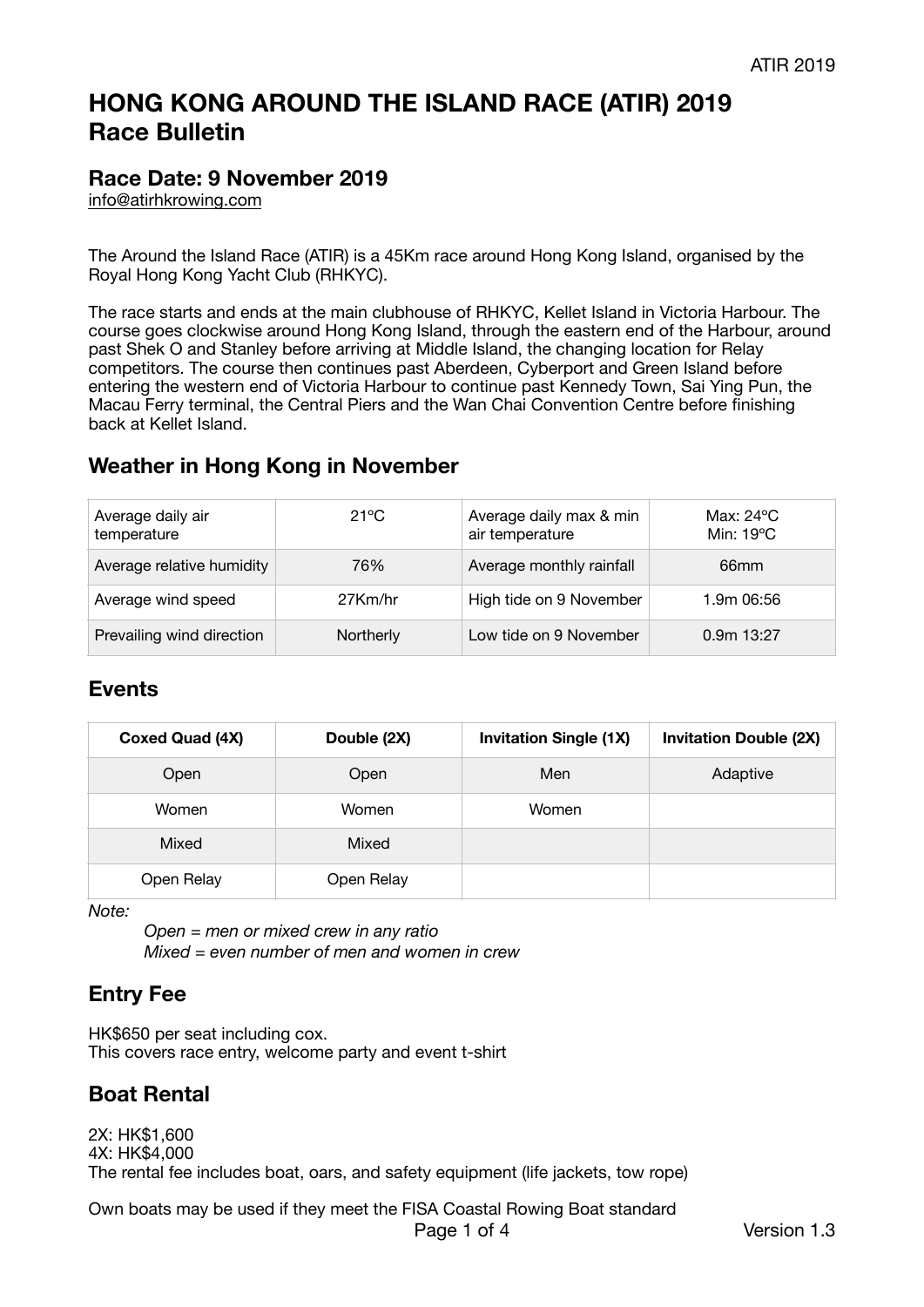# **HONG KONG AROUND THE ISLAND RACE (ATIR) 2019 Race Bulletin**

## **Race Date: 9 November 2019**

[info@atirhkrowing.com](mailto:info@atirhkrowing.com)

The Around the Island Race (ATIR) is a 45Km race around Hong Kong Island, organised by the Royal Hong Kong Yacht Club (RHKYC).

The race starts and ends at the main clubhouse of RHKYC, Kellet Island in Victoria Harbour. The course goes clockwise around Hong Kong Island, through the eastern end of the Harbour, around past Shek O and Stanley before arriving at Middle Island, the changing location for Relay competitors. The course then continues past Aberdeen, Cyberport and Green Island before entering the western end of Victoria Harbour to continue past Kennedy Town, Sai Ying Pun, the Macau Ferry terminal, the Central Piers and the Wan Chai Convention Centre before finishing back at Kellet Island.

## **Weather in Hong Kong in November**

| Average daily air<br>temperature | 21°C      | Average daily max & min<br>air temperature | Max: $24^{\circ}$ C<br>Min: $19^{\circ}$ C |
|----------------------------------|-----------|--------------------------------------------|--------------------------------------------|
| Average relative humidity        | 76%       | Average monthly rainfall                   | 66 <sub>mm</sub>                           |
| Average wind speed               | 27Km/hr   | High tide on 9 November                    | 1.9m 06:56                                 |
| Prevailing wind direction        | Northerly | Low tide on 9 November                     | $0.9m$ 13:27                               |

### **Events**

| <b>Coxed Quad (4X)</b> | Double (2X) | <b>Invitation Single (1X)</b> | <b>Invitation Double (2X)</b> |
|------------------------|-------------|-------------------------------|-------------------------------|
| Open                   | Open        | Men                           | Adaptive                      |
| Women                  | Women       | Women                         |                               |
| Mixed                  | Mixed       |                               |                               |
| Open Relay             | Open Relay  |                               |                               |

*Note:* 

*Open = men or mixed crew in any ratio Mixed = even number of men and women in crew* 

# **Entry Fee**

HK\$650 per seat including cox. This covers race entry, welcome party and event t-shirt

# **Boat Rental**

2X: HK\$1,600 4X: HK\$4,000 The rental fee includes boat, oars, and safety equipment (life jackets, tow rope)

Own boats may be used if they meet the FISA Coastal Rowing Boat standard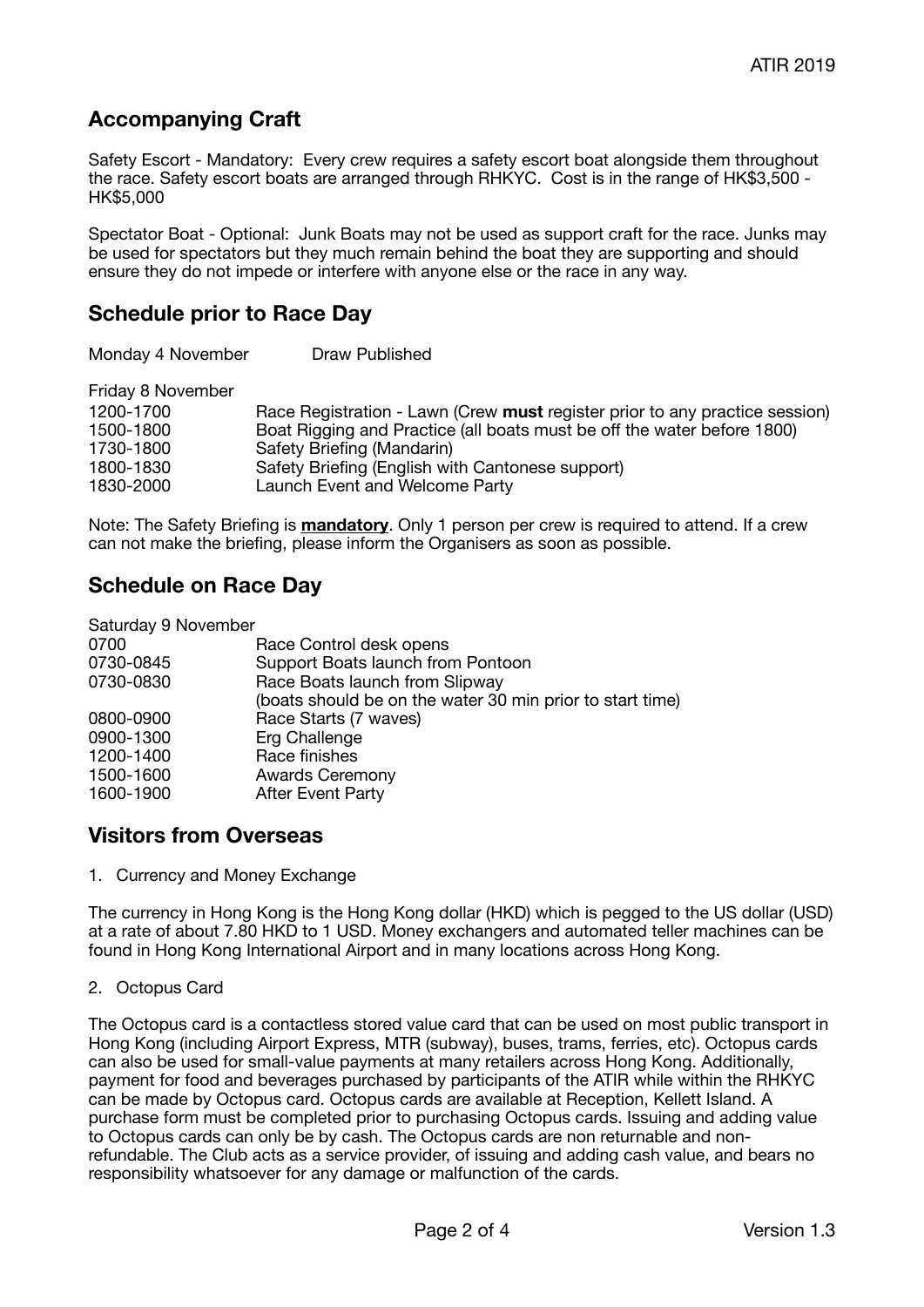# **Accompanying Craft**

Safety Escort - Mandatory: Every crew requires a safety escort boat alongside them throughout the race. Safety escort boats are arranged through RHKYC. Cost is in the range of HK\$3,500 - HK\$5,000

Spectator Boat - Optional: Junk Boats may not be used as support craft for the race. Junks may be used for spectators but they much remain behind the boat they are supporting and should ensure they do not impede or interfere with anyone else or the race in any way.

### **Schedule prior to Race Day**

Monday 4 November **Draw Published** 

Friday 8 November 

| 1200-1700<br>1500-1800<br>1730-1800 | Race Registration - Lawn (Crew must register prior to any practice session)<br>Boat Rigging and Practice (all boats must be off the water before 1800)<br>Safety Briefing (Mandarin) |
|-------------------------------------|--------------------------------------------------------------------------------------------------------------------------------------------------------------------------------------|
| 1800-1830                           | Safety Briefing (English with Cantonese support)                                                                                                                                     |
| 1830-2000                           | Launch Event and Welcome Party                                                                                                                                                       |
|                                     |                                                                                                                                                                                      |

Note: The Safety Briefing is **mandatory**. Only 1 person per crew is required to attend. If a crew can not make the briefing, please inform the Organisers as soon as possible.

## **Schedule on Race Day**

| Saturday 9 November                                       |
|-----------------------------------------------------------|
| Race Control desk opens                                   |
| Support Boats launch from Pontoon                         |
| Race Boats launch from Slipway                            |
| (boats should be on the water 30 min prior to start time) |
| Race Starts (7 waves)                                     |
| Erg Challenge                                             |
| Race finishes                                             |
| <b>Awards Ceremony</b>                                    |
| <b>After Event Party</b>                                  |
|                                                           |

### **Visitors from Overseas**

1. Currency and Money Exchange

The currency in Hong Kong is the Hong Kong dollar (HKD) which is pegged to the US dollar (USD) at a rate of about 7.80 HKD to 1 USD. Money exchangers and automated teller machines can be found in Hong Kong International Airport and in many locations across Hong Kong.

2. Octopus Card

The Octopus card is a contactless stored value card that can be used on most public transport in Hong Kong (including Airport Express, MTR (subway), buses, trams, ferries, etc). Octopus cards can also be used for small-value payments at many retailers across Hong Kong. Additionally, payment for food and beverages purchased by participants of the ATIR while within the RHKYC can be made by Octopus card. Octopus cards are available at Reception, Kellett Island. A purchase form must be completed prior to purchasing Octopus cards. Issuing and adding value to Octopus cards can only be by cash. The Octopus cards are non returnable and nonrefundable. The Club acts as a service provider, of issuing and adding cash value, and bears no responsibility whatsoever for any damage or malfunction of the cards.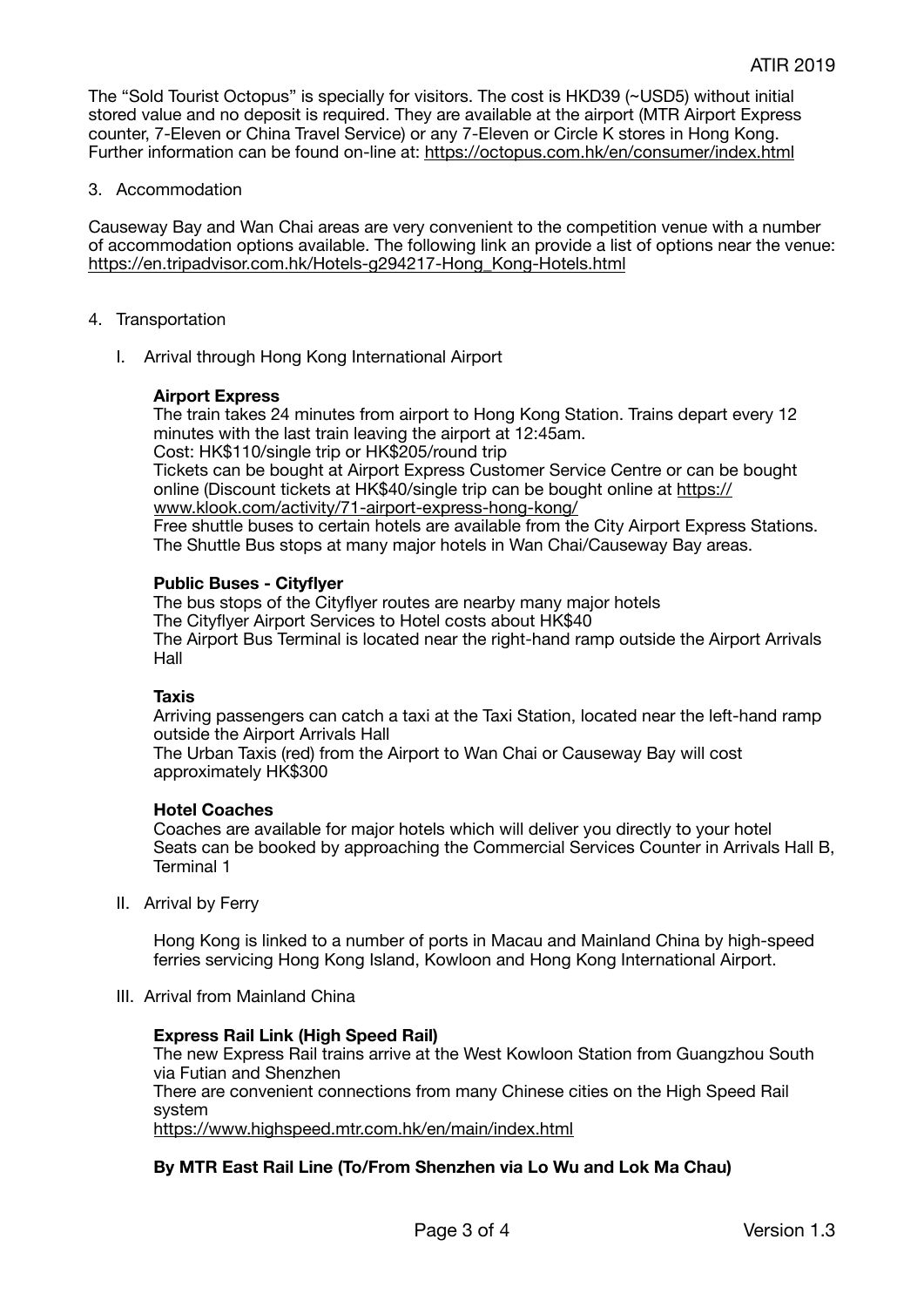The "Sold Tourist Octopus" is specially for visitors. The cost is HKD39 (~USD5) without initial stored value and no deposit is required. They are available at the airport (MTR Airport Express counter, 7-Eleven or China Travel Service) or any 7-Eleven or Circle K stores in Hong Kong. Further information can be found on-line at: <https://octopus.com.hk/en/consumer/index.html>

### 3. Accommodation

Causeway Bay and Wan Chai areas are very convenient to the competition venue with a number of accommodation options available. The following link an provide a list of options near the venue: [https://en.tripadvisor.com.hk/Hotels-g294217-Hong\\_Kong-Hotels.html](https://en.tripadvisor.com.hk/Hotels-g294217-Hong_Kong-Hotels.html)

- 4. Transportation
	- I. Arrival through Hong Kong International Airport

### **Airport Express**

The train takes 24 minutes from airport to Hong Kong Station. Trains depart every 12 minutes with the last train leaving the airport at 12:45am. Cost: HK\$110/single trip or HK\$205/round trip Tickets can be bought at Airport Express Customer Service Centre or can be bought online (Discount tickets at HK\$40/single trip can be bought online at [https://](https://www.klook.com/activity/71-airport-express-hong-kong/) [www.klook.com/activity/71-airport-express-hong-kong/](https://www.klook.com/activity/71-airport-express-hong-kong/) Free shuttle buses to certain hotels are available from the City Airport Express Stations. The Shuttle Bus stops at many major hotels in Wan Chai/Causeway Bay areas.

### **Public Buses - Cityflyer**

The bus stops of the Cityflyer routes are nearby many major hotels The Cityflyer Airport Services to Hotel costs about HK\$40 The Airport Bus Terminal is located near the right-hand ramp outside the Airport Arrivals Hall

#### **Taxis**

Arriving passengers can catch a taxi at the Taxi Station, located near the left-hand ramp outside the Airport Arrivals Hall

The Urban Taxis (red) from the Airport to Wan Chai or Causeway Bay will cost approximately HK\$300

#### **Hotel Coaches**

Coaches are available for major hotels which will deliver you directly to your hotel Seats can be booked by approaching the Commercial Services Counter in Arrivals Hall B, Terminal 1

II. Arrival by Ferry

Hong Kong is linked to a number of ports in Macau and Mainland China by high-speed ferries servicing Hong Kong Island, Kowloon and Hong Kong International Airport.

III. Arrival from Mainland China

#### **Express Rail Link (High Speed Rail)**

The new Express Rail trains arrive at the West Kowloon Station from Guangzhou South via Futian and Shenzhen There are convenient connections from many Chinese cities on the High Speed Rail system <https://www.highspeed.mtr.com.hk/en/main/index.html>

### **By MTR East Rail Line (To/From Shenzhen via Lo Wu and Lok Ma Chau)**